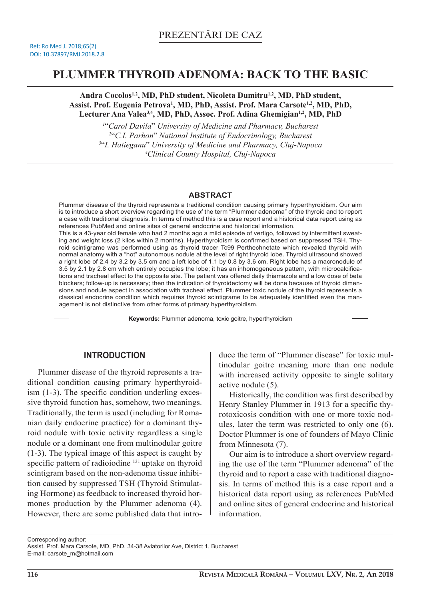# **PLUMMER THYROID ADENOMA: BACK TO THE BASIC**

**Andra Cocolos1,2, MD, PhD student, Nicoleta Dumitru1,2, MD, PhD student,**  Assist. Prof. Eugenia Petrova<sup>1</sup>, MD, PhD, Assist. Prof. Mara Carsote<sup>1,2</sup>, MD, PhD, **Lecturer Ana Valea3,4, MD, PhD, Assoc. Prof. Adina Ghemigian1,2, MD, PhD**

 "*Carol Davila*" *University of Medicine and Pharmacy, Bucharest*  "*C.I. Parhon*" *National Institute of Endocrinology, Bucharest* "*I. Hatieganu*" *University of Medicine and Pharmacy, Cluj-Napoca Clinical County Hospital, Cluj-Napoca* 

#### **ABSTRACT**

Plummer disease of the thyroid represents a traditional condition causing primary hyperthyroidism. Our aim is to introduce a short overview regarding the use of the term "Plummer adenoma" of the thyroid and to report a case with traditional diagnosis. In terms of method this is a case report and a historical data report using as references PubMed and online sites of general endocrine and historical information. This is a 43-year old female who had 2 months ago a mild episode of vertigo, followed by intermittent sweating and weight loss (2 kilos within 2 months). Hyperthyroidism is confirmed based on suppressed TSH. Thyroid scintigrame was performed using as thyroid tracer Tc99 Perthechnetate which revealed thyroid with normal anatomy with a "hot" autonomous nodule at the level of right thyroid lobe. Thyroid ultrasound showed a right lobe of 2.4 by 3.2 by 3.5 cm and a left lobe of 1.1 by 0.8 by 3.6 cm. Right lobe has a macronodule of 3.5 by 2.1 by 2.8 cm which entirely occupies the lobe; it has an inhomogeneous pattern, with microcalcifications and tracheal effect to the opposite site. The patient was offered daily thiamazole and a low dose of beta blockers; follow-up is necessary; then the indication of thyroidectomy will be done because of thyroid dimensions and nodule aspect in association with tracheal effect. Plummer toxic nodule of the thyroid represents a classical endocrine condition which requires thyroid scintigrame to be adequately identified even the management is not distinctive from other forms of primary hyperthyroidism.

**Keywords:** Plummer adenoma, toxic goitre, hyperthyroidism

# **INTRODUCTION**

Plummer disease of the thyroid represents a traditional condition causing primary hyperthyroidism (1-3). The specific condition underling excessive thyroid function has, somehow, two meanings. Traditionally, the term is used (including for Romanian daily endocrine practice) for a dominant thyroid nodule with toxic activity regardless a single nodule or a dominant one from multinodular goitre (1-3). The typical image of this aspect is caught by specific pattern of radioiodine <sup>131</sup> uptake on thyroid scintigram based on the non-adenoma tissue inhibition caused by suppressed TSH (Thyroid Stimulating Hormone) as feedback to increased thyroid hormones production by the Plummer adenoma (4). However, there are some published data that introduce the term of "Plummer disease" for toxic multinodular goitre meaning more than one nodule with increased activity opposite to single solitary active nodule (5).

Historically, the condition was first described by Henry Stanley Plummer in 1913 for a specific thyrotoxicosis condition with one or more toxic nodules, later the term was restricted to only one (6). Doctor Plummer is one of founders of Mayo Clinic from Minnesota (7).

Our aim is to introduce a short overview regarding the use of the term "Plummer adenoma" of the thyroid and to report a case with traditional diagnosis. In terms of method this is a case report and a historical data report using as references PubMed and online sites of general endocrine and historical information.

Corresponding author:

Assist. Prof. Mara Carsote, MD, PhD, 34-38 Aviatorilor Ave, District 1, Bucharest

E-mail: carsote\_m@hotmail.com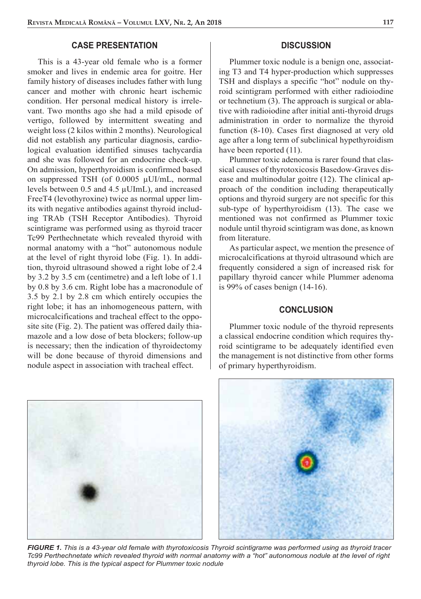## **CASE PRESENTATION**

This is a 43-year old female who is a former smoker and lives in endemic area for goitre. Her family history of diseases includes father with lung cancer and mother with chronic heart ischemic condition. Her personal medical history is irrelevant. Two months ago she had a mild episode of vertigo, followed by intermittent sweating and weight loss (2 kilos within 2 months). Neurological did not establish any particular diagnosis, cardiological evaluation identified sinuses tachycardia and she was followed for an endocrine check-up. On admission, hyperthyroidism is confirmed based on suppressed TSH (of 0.0005 μUI/mL, normal levels between 0.5 and 4.5 μUImL), and increased FreeT4 (levothyroxine) twice as normal upper limits with negative antibodies against thyroid including TRAb (TSH Receptor Antibodies). Thyroid scintigrame was performed using as thyroid tracer Tc99 Perthechnetate which revealed thyroid with normal anatomy with a "hot" autonomous nodule at the level of right thyroid lobe (Fig. 1). In addition, thyroid ultrasound showed a right lobe of 2.4 by 3.2 by 3.5 cm (centimetre) and a left lobe of 1.1 by 0.8 by 3.6 cm. Right lobe has a macronodule of 3.5 by 2.1 by 2.8 cm which entirely occupies the right lobe; it has an inhomogeneous pattern, with microcalcifications and tracheal effect to the opposite site (Fig. 2). The patient was offered daily thiamazole and a low dose of beta blockers; follow-up is necessary; then the indication of thyroidectomy will be done because of thyroid dimensions and nodule aspect in association with tracheal effect.

## **DISCUSSION**

Plummer toxic nodule is a benign one, associating T3 and T4 hyper-production which suppresses TSH and displays a specific "hot" nodule on thyroid scintigram performed with either radioiodine or technetium (3). The approach is surgical or ablative with radioiodine after initial anti-thyroid drugs administration in order to normalize the thyroid function (8-10). Cases first diagnosed at very old age after a long term of subclinical hypethyroidism have been reported  $(11)$ .

Plummer toxic adenoma is rarer found that classical causes of thyrotoxicosis Basedow-Graves disease and multinodular goitre (12). The clinical approach of the condition including therapeutically options and thyroid surgery are not specific for this sub-type of hyperthyroidism (13). The case we mentioned was not confirmed as Plummer toxic nodule until thyroid scintigram was done, as known from literature.

As particular aspect, we mention the presence of microcalcifications at thyroid ultrasound which are frequently considered a sign of increased risk for papillary thyroid cancer while Plummer adenoma is 99% of cases benign (14-16).

## **CONCLUSION**

Plummer toxic nodule of the thyroid represents a classical endocrine condition which requires thyroid scintigrame to be adequately identified even the management is not distinctive from other forms of primary hyperthyroidism.





*FIGURE 1. This is a 43-year old female with thyrotoxicosis Thyroid scintigrame was performed using as thyroid tracer Tc99 Perthechnetate which revealed thyroid with normal anatomy with a "hot" autonomous nodule at the level of right thyroid lobe. This is the typical aspect for Plummer toxic nodule*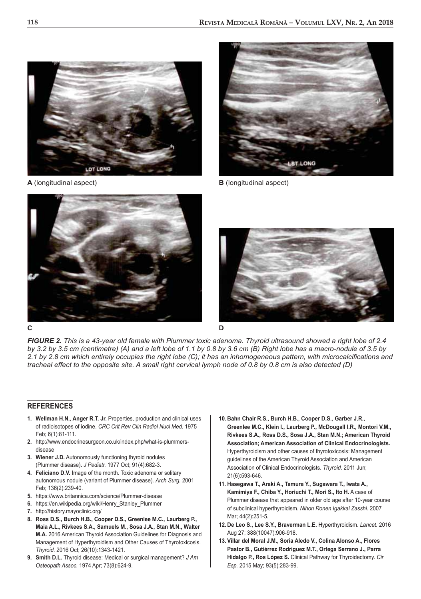

**A** (longitudinal aspect) **B** (longitudinal aspect)







*FIGURE 2. This is a 43-year old female with Plummer toxic adenoma. Thyroid ultrasound showed a right lobe of 2.4 by 3.2 by 3.5 cm (centimetre) (A) and a left lobe of 1.1 by 0.8 by 3.6 cm (B) Right lobe has a macro-nodule of 3.5 by 2.1 by 2.8 cm which entirely occupies the right lobe (C); it has an inhomogeneous pattern, with microcalcifications and tracheal effect to the opposite site. A small right cervical lymph node of 0.8 by 0.8 cm is also detected (D)*

#### **REFERENCES**

- **1. Wellman H.N., Anger R.T. Jr.** Properties, production and clinical uses of radioisotopes of iodine. *CRC Crit Rev Clin Radiol Nucl Med.* 1975 Feb; 6(1):81-111.
- **2.** http://www.endocrinesurgeon.co.uk/index.php/what-is-plummersdisease
- **3. Wiener J.D.** Autonomously functioning thyroid nodules (Plummer disease)**.** *J Pediatr.* 1977 Oct; 91(4):682-3.
- **4. Feliciano D.V.** Image of the month. Toxic adenoma or solitary autonomous nodule (variant of Plummer disease). *Arch Surg.* 2001 Feb; 136(2):239-40.
- **5.** https://www.britannica.com/science/Plummer-disease
- **6.** https://en.wikipedia.org/wiki/Henry\_Stanley\_Plummer
- **7.** http://history.mayoclinic.org/
- **8. Ross D.S., Burch H.B., Cooper D.S., Greenlee M.C., Laurberg P., Maia A.L., Rivkees S.A., Samuels M., Sosa J.A., Stan M.N., Walter M.A.** 2016 American Thyroid Association Guidelines for Diagnosis and Management of Hyperthyroidism and Other Causes of Thyrotoxicosis. *Thyroid.* 2016 Oct; 26(10):1343-1421.
- **9. Smith D.L.** Thyroid disease: Medical or surgical management? *J Am Osteopath Assoc.* 1974 Apr; 73(8):624-9.
- **10. Bahn Chair R.S., Burch H.B., Cooper D.S., Garber J.R., Greenlee M.C., Klein I., Laurberg P., McDougall I.R., Montori V.M., Rivkees S.A., Ross D.S., Sosa J.A., Stan M.N.; American Thyroid Association; American Association of Clinical Endocrinologists.** Hyperthyroidism and other causes of thyrotoxicosis: Management guidelines of the American Thyroid Association and American Association of Clinical Endocrinologists. *Thyroid.* 2011 Jun; 21(6):593-646.
- **11. Hasegawa T., Araki A., Tamura Y., Sugawara T., Iwata A., Kamimiya F., Chiba Y., Horiuchi T., Mori S., Ito H.** A case of Plummer disease that appeared in older old age after 10-year course of subclinical hyperthyroidism. *Nihon Ronen Igakkai Zasshi.* 2007 Mar; 44(2):251-5.
- **12. De Leo S., Lee S.Y., Braverman L.E.** Hyperthyroidism. *Lancet.* 2016 Aug 27; 388(10047):906-918.
- **13. Villar del Moral J.M., Soria Aledo V., Colina Alonso A., Flores Pastor B., Gutiérrez Rodríguez M.T., Ortega Serrano J., Parra Hidalgo P., Ros López S.** Clinical Pathway for Thyroidectomy. *Cir Esp.* 2015 May; 93(5):283-99.